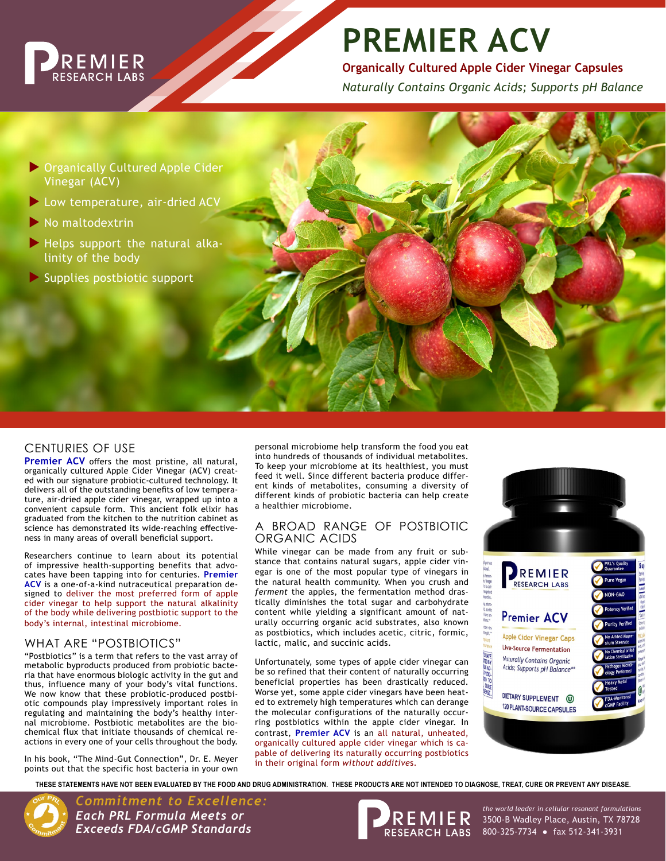

# **PREMIER ACV**

**Organically Cultured Apple Cider Vinegar Capsules**

*Naturally Contains Organic Acids; Supports pH Balance*

- Organically Cultured Apple Cider Vinegar (ACV)
- ▶ Low temperature, air-dried ACV
- $\blacktriangleright$  No maltodextrin
- Helps support the natural alkalinity of the body
- Supplies postbiotic support

## CENTURIES OF USE

**Premier ACV** offers the most pristine, all natural, organically cultured Apple Cider Vinegar (ACV) created with our signature probiotic-cultured technology. It delivers all of the outstanding benefits of low temperature, air-dried apple cider vinegar, wrapped up into a convenient capsule form. This ancient folk elixir has graduated from the kitchen to the nutrition cabinet as science has demonstrated its wide-reaching effectiveness in many areas of overall beneficial support.

Researchers continue to learn about its potential of impressive health-supporting benefits that advocates have been tapping into for centuries. **Premier ACV** is a one-of-a-kind nutraceutical preparation designed to deliver the most preferred form of apple cider vinegar to help support the natural alkalinity of the body while delivering postbiotic support to the body's internal, intestinal microbiome.

#### WHAT ARE "POSTBIOTICS"

"Postbiotics" is a term that refers to the vast array of metabolic byproducts produced from probiotic bacteria that have enormous biologic activity in the gut and thus, influence many of your body's vital functions. We now know that these probiotic-produced postbiotic compounds play impressively important roles in regulating and maintaining the body's healthy internal microbiome. Postbiotic metabolites are the biochemical flux that initiate thousands of chemical reactions in every one of your cells throughout the body.

In his book, "The Mind-Gut Connection", Dr. E. Meyer points out that the specific host bacteria in your own

personal microbiome help transform the food you eat into hundreds of thousands of individual metabolites. To keep your microbiome at its healthiest, you must feed it well. Since different bacteria produce different kinds of metabolites, consuming a diversity of different kinds of probiotic bacteria can help create a healthier microbiome.

#### A BROAD RANGE OF POSTBIOTIC ORGANIC ACIDS

While vinegar can be made from any fruit or substance that contains natural sugars, apple cider vinegar is one of the most popular type of vinegars in the natural health community. When you crush and *ferment* the apples, the fermentation method drastically diminishes the total sugar and carbohydrate content while yielding a significant amount of naturally occurring organic acid substrates, also known as postbiotics, which includes acetic, citric, formic, lactic, malic, and succinic acids.

Unfortunately, some types of apple cider vinegar can be so refined that their content of naturally occurring beneficial properties has been drastically reduced. Worse yet, some apple cider vinegars have been heated to extremely high temperatures which can derange the molecular configurations of the naturally occurring postbiotics within the apple cider vinegar. In contrast, **Premier ACV** is an all natural, unheated, organically cultured apple cider vinegar which is capable of delivering its naturally occurring postbiotics in their original form *without additive*s.



**THESE STATEMENTS HAVE NOT BEEN EVALUATED BY THE FOOD AND DRUG ADMINISTRATION. THESE PRODUCTS ARE NOT INTENDED TO DIAGNOSE, TREAT, CURE OR PREVENT ANY DISEASE.**



*Commitment to Excellence: Each PRL Formula Meets or Exceeds FDA/cGMP Standards*



3500-B Wadley Place, Austin, TX 78728 800-325-7734 ● fax 512-341-3931 *the world leader in cellular resonant formulations*